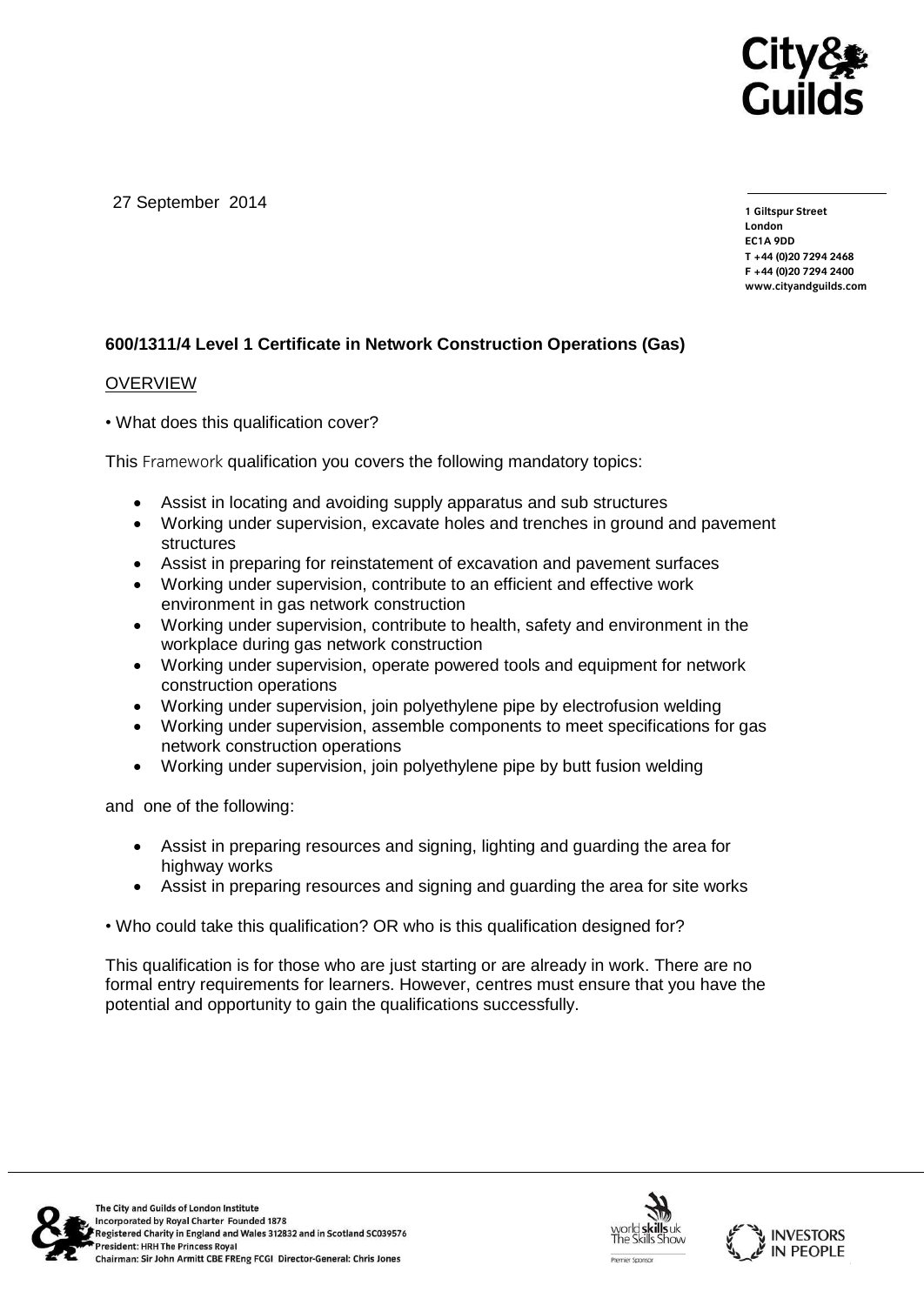

27 September 2014

**1 Giltspur Street EC1A 9DD** T +44 (0) 20 7 294 2468 **T +44 (0)20 7294 246[8](http://www.cityandguilds.com/) F +44 (0)20 7294 2400 [www.cityandguilds.com](http://www.cityandguilds.com/)**

## **600/1311/4 Level 1 Certificate in Network Construction Operations (Gas)**

#### **OVERVIEW**

• What does this qualification cover?

This Framework qualification you covers the following mandatory topics:

- Assist in locating and avoiding supply apparatus and sub structures
- Working under supervision, excavate holes and trenches in ground and pavement structures
- Assist in preparing for reinstatement of excavation and pavement surfaces
- Working under supervision, contribute to an efficient and effective work environment in gas network construction
- Working under supervision, contribute to health, safety and environment in the workplace during gas network construction
- Working under supervision, operate powered tools and equipment for network construction operations
- Working under supervision, join polyethylene pipe by electrofusion welding
- Working under supervision, assemble components to meet specifications for gas network construction operations
- Working under supervision, join polyethylene pipe by butt fusion welding

and one of the following:

- Assist in preparing resources and signing, lighting and guarding the area for highway works
- Assist in preparing resources and signing and guarding the area for site works
- Who could take this qualification? OR who is this qualification designed for?

This qualification is for those who are just starting or are already in work. There are no formal entry requirements for learners. However, centres must ensure that you have the potential and opportunity to gain the qualifications successfully.